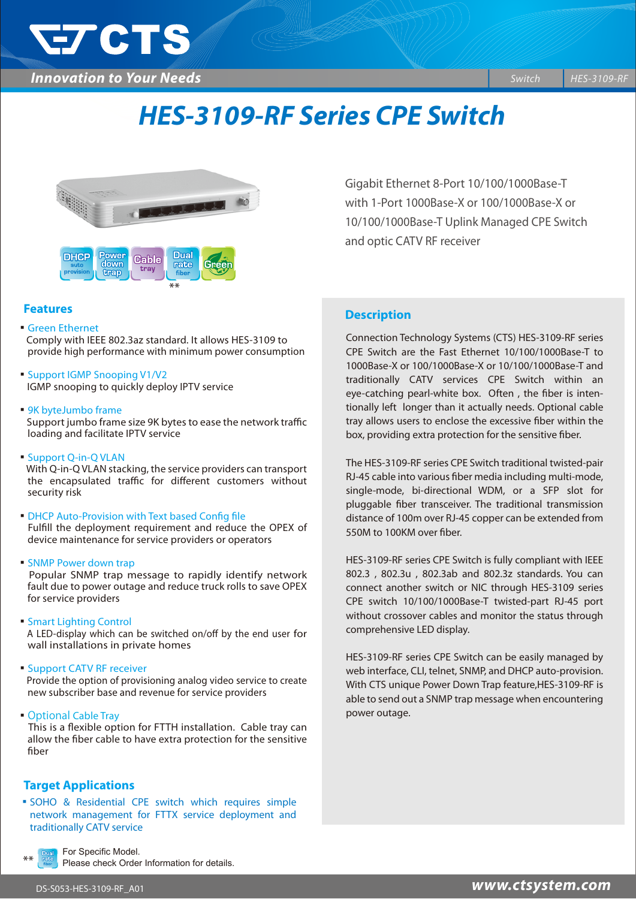

# *HES-3109-RF Series CPE Switch*



### **Features**

- **Green Ethernet**  Comply with IEEE 802.3az standard. It allows HES-3109 to provide high performance with minimum power consumption
- Support IGMP Snooping V1/V2 IGMP snooping to quickly deploy IPTV service
- ▪9K byteJumbo frame Support jumbo frame size 9K bytes to ease the network traffic loading and facilitate IPTV service
- Support Q-in-Q VLAN With Q-in-Q VLAN stacking, the service providers can transport the encapsulated traffic for different customers without security risk
- DHCP Auto-Provision with Text based Config file Fulfill the deployment requirement and reduce the OPEX of device maintenance for service providers or operators
- **SNMP Power down trap**

 Popular SNMP trap message to rapidly identify network fault due to power outage and reduce truck rolls to save OPEX for service providers

- **Smart Lighting Control** A LED-display which can be switched on/off by the end user for wall installations in private homes
- **E** Support CATV RF receiver Provide the option of provisioning analog video service to create new subscriber base and revenue for service providers
- ▪Optional Cable Tray

This is a flexible option for FTTH installation. Cable tray can allow the fiber cable to have extra protection for the sensitive fiber

# **Target Applications**

▪SOHO & Residential CPE switch which requires simple network management for FTTX service deployment and traditionally CATV service

For Specific Model.

Please check Order Information for details.

with 1-Port 1000Base-X or 100/1000Base-X or 10/100/1000Base-T Uplink Managed CPE Switch and optic CATV RF receiver

Gigabit Ethernet 8-Port 10/100/1000Base-T

# **Description**

Connection Technology Systems (CTS) HES-3109-RF series CPE Switch are the Fast Ethernet 10/100/1000Base-T to 1000Base-X or 100/1000Base-X or 10/100/1000Base-T and traditionally CATV services CPE Switch within an eye-catching pearl-white box. Often, the fiber is intentionally left longer than it actually needs. Optional cable tray allows users to enclose the excessive fiber within the box, providing extra protection for the sensitive fiber.

The HES-3109-RF series CPE Switch traditional twisted-pair RJ-45 cable into various fiber media including multi-mode, single-mode, bi-directional WDM, or a SFP slot for pluggable fiber transceiver. The traditional transmission distance of 100m over RJ-45 copper can be extended from 550M to 100KM over fiber.

HES-3109-RF series CPE Switch is fully compliant with IEEE 802.3 , 802.3u , 802.3ab and 802.3z standards. You can connect another switch or NIC through HES-3109 series CPE switch 10/100/1000Base-T twisted-part RJ-45 port without crossover cables and monitor the status through comprehensive LED display.

HES-3109-RF series CPE Switch can be easily managed by web interface, CLI, telnet, SNMP, and DHCP auto-provision. With CTS unique Power Down Trap feature,HES-3109-RF is able to send out a SNMP trap message when encountering power outage.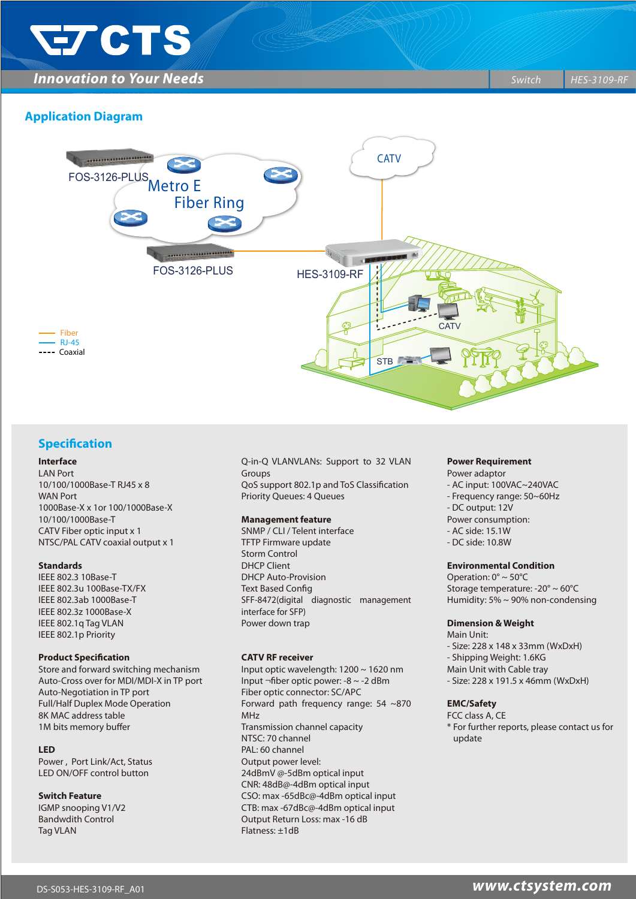

**Innovation to Your Needs** *Switch* **HES-3109-RF** *Switch* **<b>***BIS-3109-RF* 

# **Application Diagram**



### **Specification**

#### **Interface**

LAN Port 10/100/1000Base-T RJ45 x 8 WAN Port 1000Base-X x 1or 100/1000Base-X 10/100/1000Base-T CATV Fiber optic input x 1 NTSC/PAL CATV coaxial output x 1

#### **Standards**

IEEE 802.3 10Base-T IEEE 802.3u 100Base-TX/FX IEEE 802.3ab 1000Base-T IEEE 802.3z 1000Base-X IEEE 802.1q Tag VLAN IEEE 802.1p Priority

#### **Product Specification**

Store and forward switching mechanism Auto-Cross over for MDI/MDI-X in TP port Auto-Negotiation in TP port Full/Half Duplex Mode Operation 8K MAC address table 1M bits memory buffer

#### **LED**

Power , Port Link/Act, Status LED ON/OFF control button

#### **Switch Feature**

IGMP snooping V1/V2 Bandwdith Control Tag VLAN

Q-in-Q VLANVLANs: Support to 32 VLAN Groups QoS support 802.1p and ToS Classification Priority Queues: 4 Queues

#### **Management feature**

SNMP / CLI / Telent interface TFTP Firmware update Storm Control DHCP Client DHCP Auto-Provision **Text Based Config** SFF-8472(digital diagnostic management interface for SFP) Power down trap

#### **CATV RF receiver**

Input optic wavelength: 1200 ~ 1620 nm Input ¬fiber optic power: -8 ~ -2 dBm Fiber optic connector: SC/APC Forward path frequency range: 54 ~870 MHz Transmission channel capacity NTSC: 70 channel PAL: 60 channel Output power level: 24dBmV @-5dBm optical input CNR: 48dB@-4dBm optical input CSO: max -65dBc@-4dBm optical input CTB: max -67dBc@-4dBm optical input Output Return Loss: max -16 dB Flatness: ±1dB

#### **Power Requirement** Power adaptor

- AC input: 100VAC~240VAC
- Frequency range: 50~60Hz
- DC output: 12V
- Power consumption:
- AC side: 15.1W
- DC side: 10.8W

#### **Environmental Condition**

Operation: 0° ~ 50°C Storage temperature: -20° ~ 60°C Humidity: 5% ~ 90% non-condensing

#### **Dimension & Weight**

Main Unit: - Size: 228 x 148 x 33mm (WxDxH) - Shipping Weight: 1.6KG Main Unit with Cable tray - Size: 228 x 191.5 x 46mm (WxDxH)

#### **EMC/Safety**

FCC class A, CE \* For further reports, please contact us for update